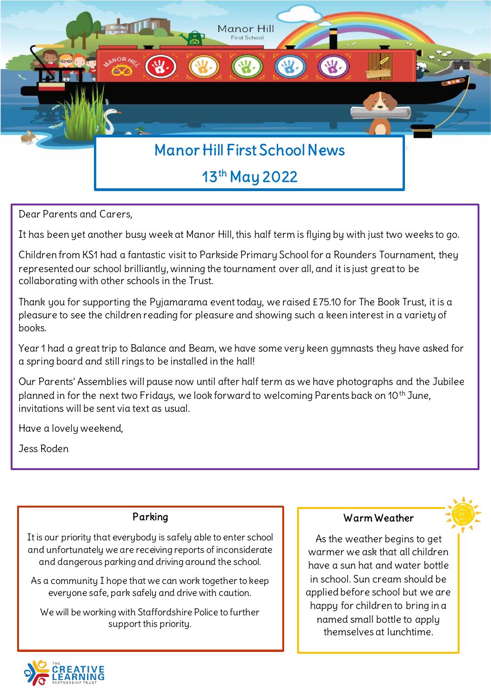

Dear Parents and Carers,

It has been yet another busy week at Manor Hill, this half term is flying by with just two weeks to go.

Children from KS1 had a fantastic visit to Parkside Primary School for a Rounders Tournament, they represented our school brilliantly, winning the tournament over all, and it is just great to be collaborating with other schools in the Trust.

Thank you for supporting the Pyjamarama event today, we raised £75.10 for The Book Trust, it is a pleasure to see the children reading for pleasure and showing such a keen interest in a variety of books.

Year 1 had a great trip to Balance and Beam, we have some very keen gymnasts they have asked for a spring board and still rings to be installed in the hall!

Our Parents' Assemblies will pause now until after half term as we have photographs and the Jubilee planned in for the next two Fridays, we look forward to welcoming Parents back on 10<sup>th</sup> June, invitations will be sent via text as usual.

Have a lovely weekend,

Jess Roden

#### Parking

It is our priority that everybody is safely able to enter school and unfortunately we are receiving reports of inconsiderate and dangerous parking and driving around the school.

As a community I hope that we can work together to keep everyone safe, park safely and drive with caution.

 We will be working with Staffordshire Police to further support this priority.

L

#### Warm Weather

As the weather begins to get warmer we ask that all children have a sun hat and water bottle in school. Sun cream should be applied before school but we are happy for children to bring in a named small bottle to apply themselves at lunchtime.